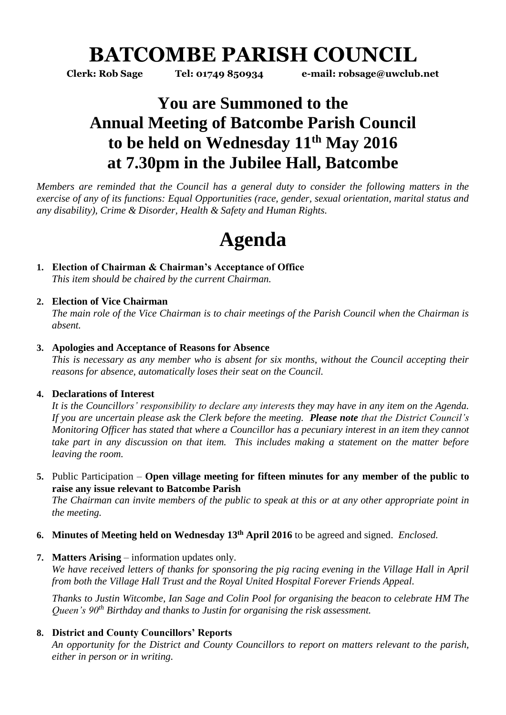# **BATCOMBE PARISH COUNCIL**

**Clerk: Rob Sage Tel: 01749 850934 e-mail: robsage@uwclub.net**

## **You are Summoned to the Annual Meeting of Batcombe Parish Council to be held on Wednesday 11th May 2016 at 7.30pm in the Jubilee Hall, Batcombe**

*Members are reminded that the Council has a general duty to consider the following matters in the exercise of any of its functions: Equal Opportunities (race, gender, sexual orientation, marital status and any disability), Crime & Disorder, Health & Safety and Human Rights.* 

# **Agenda**

**1. Election of Chairman & Chairman's Acceptance of Office** *This item should be chaired by the current Chairman.* 

### **2. Election of Vice Chairman**

*The main role of the Vice Chairman is to chair meetings of the Parish Council when the Chairman is absent.* 

#### **3. Apologies and Acceptance of Reasons for Absence**

*This is necessary as any member who is absent for six months, without the Council accepting their reasons for absence, automatically loses their seat on the Council.*

#### **4. Declarations of Interest**

*It is the Councillors' responsibility to declare any interests they may have in any item on the Agenda. If you are uncertain please ask the Clerk before the meeting. Please note that the District Council's Monitoring Officer has stated that where a Councillor has a pecuniary interest in an item they cannot take part in any discussion on that item. This includes making a statement on the matter before leaving the room.* 

**5.** Public Participation – **Open village meeting for fifteen minutes for any member of the public to raise any issue relevant to Batcombe Parish**

*The Chairman can invite members of the public to speak at this or at any other appropriate point in the meeting.*

- **6. Minutes of Meeting held on Wednesday 13th April 2016** to be agreed and signed. *Enclosed.*
- **7. Matters Arising** information updates only.

*We have received letters of thanks for sponsoring the pig racing evening in the Village Hall in April from both the Village Hall Trust and the Royal United Hospital Forever Friends Appeal.*

*Thanks to Justin Witcombe, Ian Sage and Colin Pool for organising the beacon to celebrate HM The Queen's 90th Birthday and thanks to Justin for organising the risk assessment.*

### **8. District and County Councillors' Reports**

*An opportunity for the District and County Councillors to report on matters relevant to the parish, either in person or in writing.*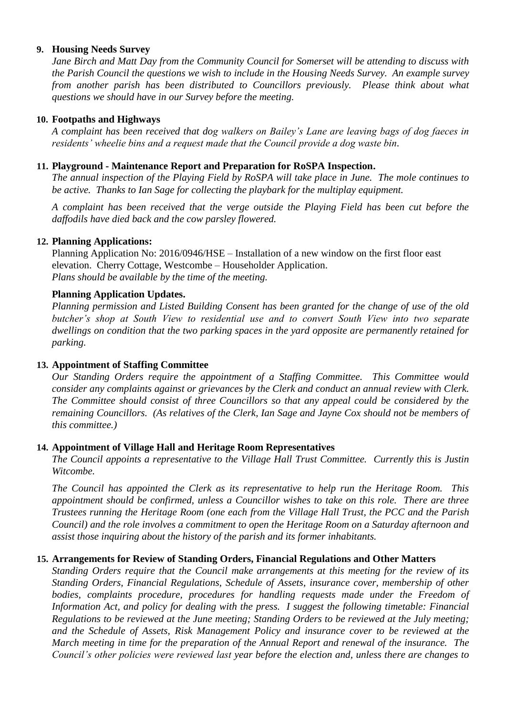#### **9. Housing Needs Survey**

*Jane Birch and Matt Day from the Community Council for Somerset will be attending to discuss with the Parish Council the questions we wish to include in the Housing Needs Survey. An example survey from another parish has been distributed to Councillors previously. Please think about what questions we should have in our Survey before the meeting.*

#### **10. Footpaths and Highways**

*A complaint has been received that dog walkers on Bailey's Lane are leaving bags of dog faeces in residents' wheelie bins and a request made that the Council provide a dog waste bin.* 

#### **11. Playground - Maintenance Report and Preparation for RoSPA Inspection.**

*The annual inspection of the Playing Field by RoSPA will take place in June. The mole continues to be active. Thanks to Ian Sage for collecting the playbark for the multiplay equipment.*

*A complaint has been received that the verge outside the Playing Field has been cut before the daffodils have died back and the cow parsley flowered.* 

#### **12. Planning Applications:**

Planning Application No: 2016/0946/HSE – Installation of a new window on the first floor east elevation. Cherry Cottage, Westcombe – Householder Application. *Plans should be available by the time of the meeting.* 

#### **Planning Application Updates.**

*Planning permission and Listed Building Consent has been granted for the change of use of the old butcher's shop at South View to residential use and to convert South View into two separate dwellings on condition that the two parking spaces in the yard opposite are permanently retained for parking.* 

#### **13. Appointment of Staffing Committee**

*Our Standing Orders require the appointment of a Staffing Committee. This Committee would consider any complaints against or grievances by the Clerk and conduct an annual review with Clerk. The Committee should consist of three Councillors so that any appeal could be considered by the remaining Councillors. (As relatives of the Clerk, Ian Sage and Jayne Cox should not be members of this committee.)* 

#### **14. Appointment of Village Hall and Heritage Room Representatives**

*The Council appoints a representative to the Village Hall Trust Committee. Currently this is Justin Witcombe.* 

*The Council has appointed the Clerk as its representative to help run the Heritage Room. This appointment should be confirmed, unless a Councillor wishes to take on this role. There are three Trustees running the Heritage Room (one each from the Village Hall Trust, the PCC and the Parish Council) and the role involves a commitment to open the Heritage Room on a Saturday afternoon and assist those inquiring about the history of the parish and its former inhabitants.*

#### **15. Arrangements for Review of Standing Orders, Financial Regulations and Other Matters**

*Standing Orders require that the Council make arrangements at this meeting for the review of its Standing Orders, Financial Regulations, Schedule of Assets, insurance cover, membership of other*  bodies, complaints procedure, procedures for handling requests made under the Freedom of *Information Act, and policy for dealing with the press. I suggest the following timetable: Financial Regulations to be reviewed at the June meeting; Standing Orders to be reviewed at the July meeting; and the Schedule of Assets, Risk Management Policy and insurance cover to be reviewed at the March meeting in time for the preparation of the Annual Report and renewal of the insurance. The Council's other policies were reviewed last year before the election and, unless there are changes to*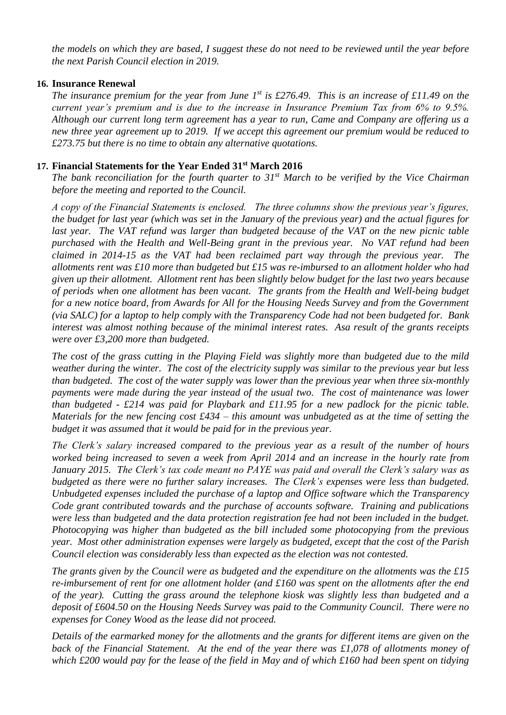*the models on which they are based, I suggest these do not need to be reviewed until the year before the next Parish Council election in 2019.* 

#### **16. Insurance Renewal**

*The insurance premium for the year from June 1st is £276.49. This is an increase of £11.49 on the current year's premium and is due to the increase in Insurance Premium Tax from 6% to 9.5%. Although our current long term agreement has a year to run, Came and Company are offering us a new three year agreement up to 2019. If we accept this agreement our premium would be reduced to £273.75 but there is no time to obtain any alternative quotations.* 

#### **17. Financial Statements for the Year Ended 31st March 2016**

*The bank reconciliation for the fourth quarter to 31st March to be verified by the Vice Chairman before the meeting and reported to the Council.* 

*A copy of the Financial Statements is enclosed. The three columns show the previous year's figures, the budget for last year (which was set in the January of the previous year) and the actual figures for*  last year. The VAT refund was larger than budgeted because of the VAT on the new picnic table *purchased with the Health and Well-Being grant in the previous year. No VAT refund had been claimed in 2014-15 as the VAT had been reclaimed part way through the previous year. The allotments rent was £10 more than budgeted but £15 was re-imbursed to an allotment holder who had given up their allotment. Allotment rent has been slightly below budget for the last two years because of periods when one allotment has been vacant. The grants from the Health and Well-being budget for a new notice board, from Awards for All for the Housing Needs Survey and from the Government (via SALC) for a laptop to help comply with the Transparency Code had not been budgeted for. Bank interest was almost nothing because of the minimal interest rates. Asa result of the grants receipts were over £3,200 more than budgeted.* 

*The cost of the grass cutting in the Playing Field was slightly more than budgeted due to the mild weather during the winter. The cost of the electricity supply was similar to the previous year but less than budgeted. The cost of the water supply was lower than the previous year when three six-monthly payments were made during the year instead of the usual two. The cost of maintenance was lower than budgeted - £214 was paid for Playbark and £11.95 for a new padlock for the picnic table. Materials for the new fencing cost £434 – this amount was unbudgeted as at the time of setting the budget it was assumed that it would be paid for in the previous year.*

*The Clerk's salary increased compared to the previous year as a result of the number of hours worked being increased to seven a week from April 2014 and an increase in the hourly rate from January 2015. The Clerk's tax code meant no PAYE was paid and overall the Clerk's salary was as budgeted as there were no further salary increases. The Clerk's expenses were less than budgeted. Unbudgeted expenses included the purchase of a laptop and Office software which the Transparency Code grant contributed towards and the purchase of accounts software. Training and publications were less than budgeted and the data protection registration fee had not been included in the budget. Photocopying was higher than budgeted as the bill included some photocopying from the previous year. Most other administration expenses were largely as budgeted, except that the cost of the Parish Council election was considerably less than expected as the election was not contested.*

*The grants given by the Council were as budgeted and the expenditure on the allotments was the £15 re-imbursement of rent for one allotment holder (and £160 was spent on the allotments after the end of the year). Cutting the grass around the telephone kiosk was slightly less than budgeted and a deposit of £604.50 on the Housing Needs Survey was paid to the Community Council. There were no expenses for Coney Wood as the lease did not proceed.*

*Details of the earmarked money for the allotments and the grants for different items are given on the back of the Financial Statement. At the end of the year there was £1,078 of allotments money of which £200 would pay for the lease of the field in May and of which £160 had been spent on tidying*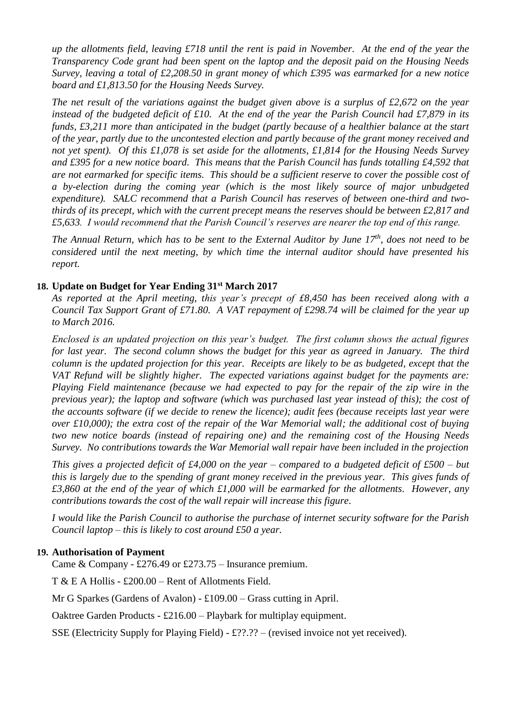*up the allotments field, leaving £718 until the rent is paid in November. At the end of the year the Transparency Code grant had been spent on the laptop and the deposit paid on the Housing Needs Survey, leaving a total of £2,208.50 in grant money of which £395 was earmarked for a new notice board and £1,813.50 for the Housing Needs Survey.*

*The net result of the variations against the budget given above is a surplus of £2,672 on the year instead of the budgeted deficit of £10. At the end of the year the Parish Council had £7,879 in its funds, £3,211 more than anticipated in the budget (partly because of a healthier balance at the start of the year, partly due to the uncontested election and partly because of the grant money received and not yet spent). Of this £1,078 is set aside for the allotments, £1,814 for the Housing Needs Survey and £395 for a new notice board. This means that the Parish Council has funds totalling £4,592 that are not earmarked for specific items. This should be a sufficient reserve to cover the possible cost of a by-election during the coming year (which is the most likely source of major unbudgeted expenditure). SALC recommend that a Parish Council has reserves of between one-third and twothirds of its precept, which with the current precept means the reserves should be between £2,817 and £5,633. I would recommend that the Parish Council's reserves are nearer the top end of this range.*

*The Annual Return, which has to be sent to the External Auditor by June 17th , does not need to be considered until the next meeting, by which time the internal auditor should have presented his report.* 

#### **18. Update on Budget for Year Ending 31st March 2017**

*As reported at the April meeting, this year's precept of £8,450 has been received along with a Council Tax Support Grant of £71.80. A VAT repayment of £298.74 will be claimed for the year up to March 2016.* 

*Enclosed is an updated projection on this year's budget. The first column shows the actual figures for last year. The second column shows the budget for this year as agreed in January. The third column is the updated projection for this year. Receipts are likely to be as budgeted, except that the VAT Refund will be slightly higher. The expected variations against budget for the payments are: Playing Field maintenance (because we had expected to pay for the repair of the zip wire in the previous year); the laptop and software (which was purchased last year instead of this); the cost of the accounts software (if we decide to renew the licence); audit fees (because receipts last year were over £10,000); the extra cost of the repair of the War Memorial wall; the additional cost of buying two new notice boards (instead of repairing one) and the remaining cost of the Housing Needs Survey. No contributions towards the War Memorial wall repair have been included in the projection*

*This gives a projected deficit of £4,000 on the year – compared to a budgeted deficit of £500 – but this is largely due to the spending of grant money received in the previous year. This gives funds of £3,860 at the end of the year of which £1,000 will be earmarked for the allotments. However, any contributions towards the cost of the wall repair will increase this figure.* 

*I would like the Parish Council to authorise the purchase of internet security software for the Parish Council laptop – this is likely to cost around £50 a year.* 

#### **19. Authorisation of Payment**

Came & Company - £276.49 or £273.75 – Insurance premium.

T & E A Hollis - £200.00 – Rent of Allotments Field.

Mr G Sparkes (Gardens of Avalon) - £109.00 – Grass cutting in April.

Oaktree Garden Products - £216.00 – Playbark for multiplay equipment.

SSE (Electricity Supply for Playing Field) - £??.?? – (revised invoice not yet received).